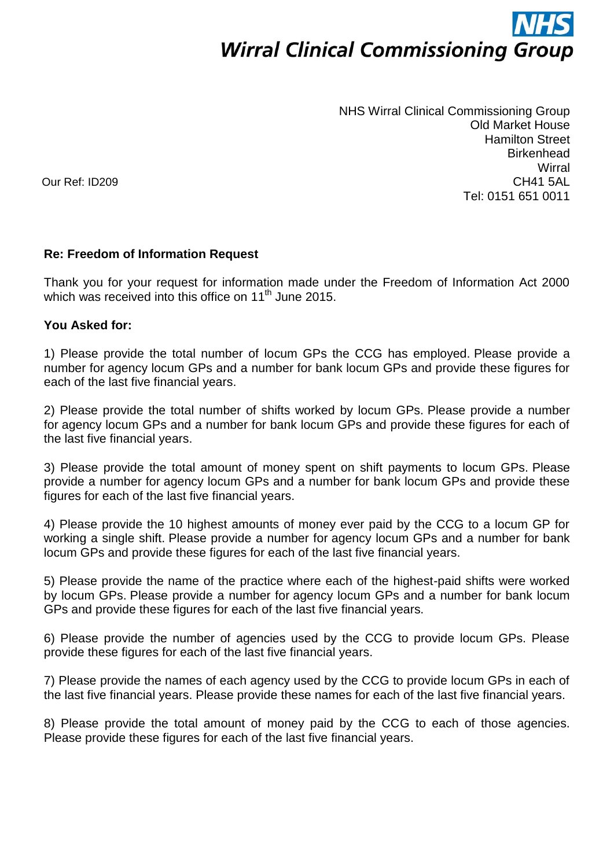# **Wirral Clinical Commissioning Group**

NHS Wirral Clinical Commissioning Group Old Market House Hamilton Street **Birkenhead Wirral** CH41 5AL Tel: 0151 651 0011

Our Ref: ID209

## **Re: Freedom of Information Request**

Thank you for your request for information made under the Freedom of Information Act 2000 which was received into this office on 11<sup>th</sup> June 2015.

### **You Asked for:**

1) Please provide the total number of locum GPs the CCG has employed. Please provide a number for agency locum GPs and a number for bank locum GPs and provide these figures for each of the last five financial years.

2) Please provide the total number of shifts worked by locum GPs. Please provide a number for agency locum GPs and a number for bank locum GPs and provide these figures for each of the last five financial years.

3) Please provide the total amount of money spent on shift payments to locum GPs. Please provide a number for agency locum GPs and a number for bank locum GPs and provide these figures for each of the last five financial years.

4) Please provide the 10 highest amounts of money ever paid by the CCG to a locum GP for working a single shift. Please provide a number for agency locum GPs and a number for bank locum GPs and provide these figures for each of the last five financial years.

5) Please provide the name of the practice where each of the highest-paid shifts were worked by locum GPs. Please provide a number for agency locum GPs and a number for bank locum GPs and provide these figures for each of the last five financial years.

6) Please provide the number of agencies used by the CCG to provide locum GPs. Please provide these figures for each of the last five financial years.

7) Please provide the names of each agency used by the CCG to provide locum GPs in each of the last five financial years. Please provide these names for each of the last five financial years.

8) Please provide the total amount of money paid by the CCG to each of those agencies. Please provide these figures for each of the last five financial years.